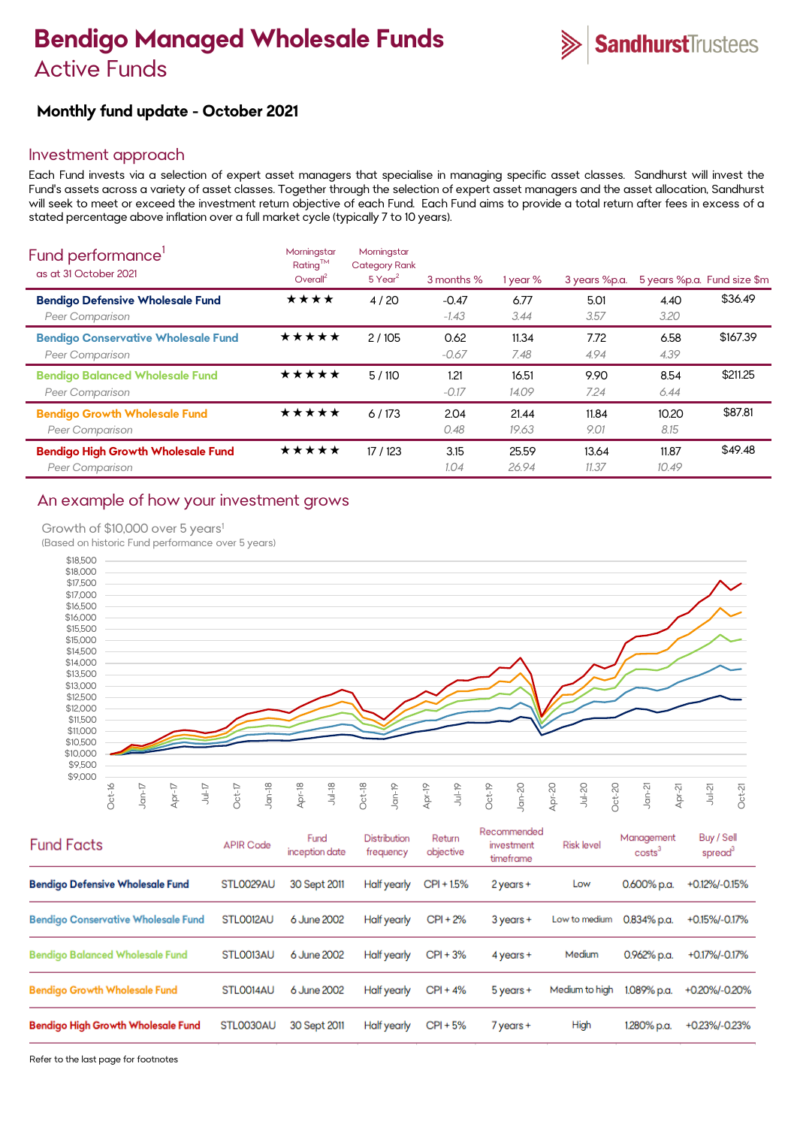# **Bendigo Managed Wholesale Funds**  Active Funds

# **Monthly fund update - October 2021**

## Investment approach

Each Fund invests via a selection of expert asset managers that specialise in managing specific asset classes. Sandhurst will invest the Fund's assets across a variety of asset classes. Together through the selection of expert asset managers and the asset allocation, Sandhurst will seek to meet or exceed the investment return objective of each Fund. Each Fund aims to provide a total return after fees in excess of a stated percentage above inflation over a full market cycle (typically 7 to 10 years).

| Fund performance'<br>as at 31 October 2021                          | Morningstar<br>$Rating^{TM}$<br>Overall <sup>2</sup> | Morningstar<br><b>Category Rank</b><br>$5$ Year <sup>2</sup> | 3 months %         | 1 year %       | 3 years %p.a.  |                | 5 years %p.a. Fund size \$m |
|---------------------------------------------------------------------|------------------------------------------------------|--------------------------------------------------------------|--------------------|----------------|----------------|----------------|-----------------------------|
| <b>Bendigo Defensive Wholesale Fund</b><br>Peer Comparison          | ★★★★                                                 | 4/20                                                         | $-0.47$<br>$-1.43$ | 6.77<br>3.44   | 5.01<br>3.57   | 4.40<br>3.20   | \$36.49                     |
| <b>Bendigo Conservative Wholesale Fund</b><br>Peer Comparison       | ★★★★★                                                | 2/105                                                        | 0.62<br>$-0.67$    | 11.34<br>7.48  | 7.72<br>4.94   | 6.58<br>4.39   | \$167.39                    |
| <b>Bendigo Balanced Wholesale Fund</b><br>Peer Comparison           | ★★★★★                                                | 5/110                                                        | 1.21<br>$-0.17$    | 16.51<br>14.09 | 9.90<br>7.24   | 8.54<br>6.44   | \$211.25                    |
| <b>Bendigo Growth Wholesale Fund</b><br>Peer Comparison             | ★★★★★                                                | 6/173                                                        | 2.04<br>0.48       | 21.44<br>19.63 | 11.84<br>9.01  | 10.20<br>8.15  | \$87.81                     |
| <b>Bendigo High Growth Wholesale Fund</b><br><b>Peer Comparison</b> | ★★★★★                                                | 17 / 123                                                     | 3.15<br>1.04       | 25.59<br>26.94 | 13.64<br>11.37 | 11.87<br>10.49 | \$49.48                     |

# An example of how your investment grows

#### Growth of \$10,000 over 5 years<sup>1</sup>

(Based on historic Fund performance over 5 years)



| <b>Fund Facts</b>                          | <b>APIR Code</b> | Fund<br>inception date | Distribution<br>frequency | Return<br>objective | Recommended<br>investment<br>timeframe | <b>Risk level</b> | Management<br>costs <sup>3</sup> | Buy / Sell<br>spread <sup>3</sup> |
|--------------------------------------------|------------------|------------------------|---------------------------|---------------------|----------------------------------------|-------------------|----------------------------------|-----------------------------------|
| <b>Bendigo Defensive Wholesale Fund</b>    | STL0029AU        | 30 Sept 2011           | Half yearly               | CPI + 1.5%          | 2 years +                              | Low               | 0.600% p.a.                      | +0.12%/-0.15%                     |
| <b>Bendigo Conservative Wholesale Fund</b> | STLO012AU        | 6 June 2002            | Half yearly               | $CPI + 2%$          | $3$ years $+$                          | Low to medium     | $0.834\%$ p.a.                   | +0.15%/-0.17%                     |
| <b>Bendigo Balanced Wholesale Fund</b>     | STLO013AU        | 6 June 2002            | Half yearly               | $CPI + 3%$          | $4$ years $+$                          | Medium            | $0.962\%$ p.a.                   | +0.17%/-0.17%                     |
| <b>Bendigo Growth Wholesale Fund</b>       | STLO014AU        | 6 June 2002            | Half yearly               | $CPI + 4%$          | $5$ years $+$                          | Medium to high    | 1.089% p.a.                      | +0.20%/-0.20%                     |
| <b>Bendigo High Growth Wholesale Fund</b>  | STL0030AU        | 30 Sept 2011           | Half yearly               | $CPI + 5%$          | 7 years +                              | High              | 1.280% p.a.                      | +0.23%/-0.23%                     |

Refer to the last page for footnotes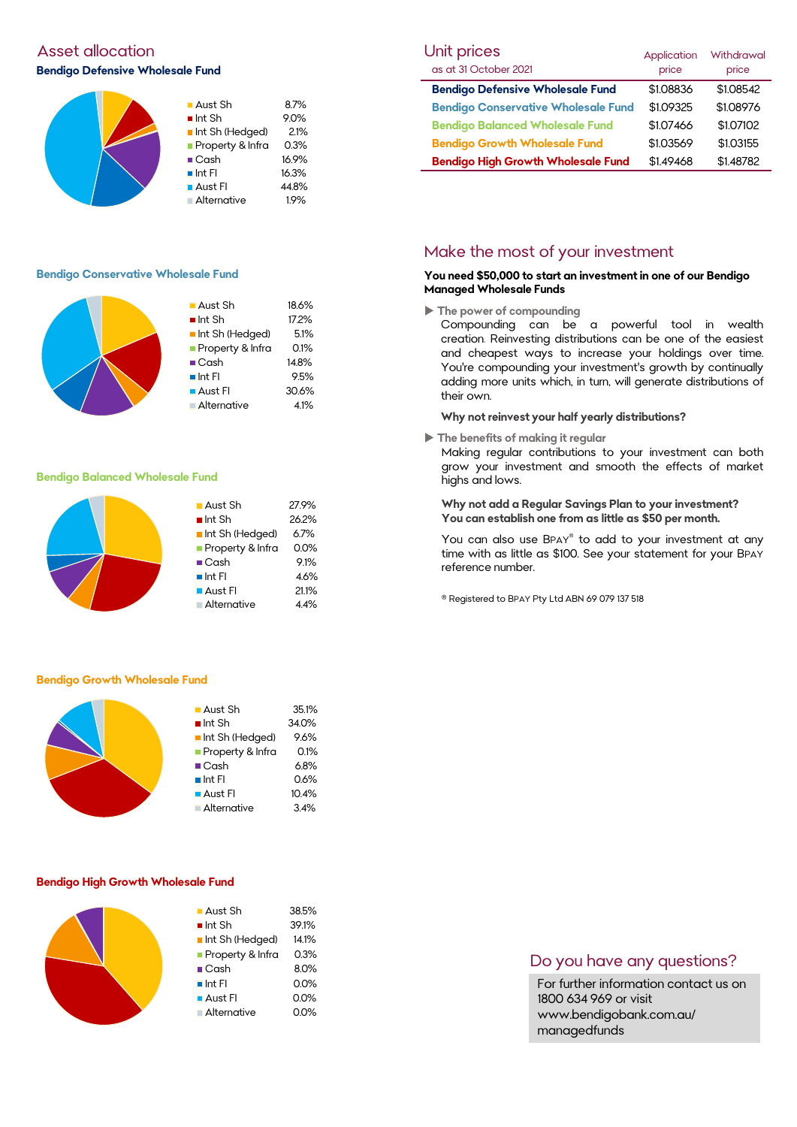# Asset allocation and the Unit prices of the Unit prices of the Unit prices of the Unit prices of Unit prices o **Bendigo Defensive Wholesale Fund**



#### **Bendigo Conservative Wholesale Fund**



#### **Bendigo Balanced Wholesale Fund**

|  | ■ Aust Sh              | 27.9% |
|--|------------------------|-------|
|  | $\blacksquare$ Int Sh  | 26.2% |
|  | Int Sh (Hedged)        | 6.7%  |
|  | Property & Infra       | 0.0%  |
|  | $\blacksquare$ Cash    | 9.1%  |
|  | $\blacksquare$ Int FI  | 4.6%  |
|  | $\blacksquare$ Aust Fl | 21.1% |
|  | Alternative            | 4.4%  |

#### **Bendigo Growth Wholesale Fund**



#### **Bendigo High Growth Wholesale Fund**

| $\blacksquare$ Aust Sh | 38.5% |
|------------------------|-------|
| $\blacksquare$ Int Sh  | 39.1% |
| Int Sh (Hedged)        | 14.1% |
| Property & Infra       | 0.3%  |
| $\blacksquare$ Cash    | 8.0%  |
| $\blacksquare$ Int FI  | 0.0%  |
| $\blacksquare$ Aust Fl | 0.0%  |
| Alternative            | 0.0%  |
|                        |       |

| Unit prices                                | Application | <b>Withdrawal</b> |
|--------------------------------------------|-------------|-------------------|
| as at 31 October 2021                      | price       | price             |
| <b>Bendigo Defensive Wholesale Fund</b>    | \$1.08836   | \$1.08542         |
| <b>Bendigo Conservative Wholesale Fund</b> | \$1.09325   | \$1.08976         |
| <b>Bendigo Balanced Wholesale Fund</b>     | \$1.07466   | \$1.07102         |
| <b>Bendigo Growth Wholesale Fund</b>       | \$1.03569   | \$1.03155         |
| <b>Bendigo High Growth Wholesale Fund</b>  | \$1.49468   | \$1.48782         |

### Make the most of your investment

#### **You need \$50,000 to start an investment in one of our Bendigo Managed Wholesale Funds**

**The power of compounding**

Compounding can be a powerful tool in wealth creation. Reinvesting distributions can be one of the easiest and cheapest ways to increase your holdings over time. You're compounding your investment's growth by continually adding more units which, in turn, will generate distributions of their own.

#### **Why not reinvest your half yearly distributions?**

**The benefits of making it regular**

Making regular contributions to your investment can both grow your investment and smooth the effects of market highs and lows.

#### **Why not add a Regular Savings Plan to your investment? You can establish one from as little as \$50 per month.**

You can also use BPAY® to add to your investment at any time with as little as \$100. See your statement for your BPAY reference number.

® Registered to BPAY Pty Ltd ABN 69 079 137 518

### Do you have any questions?

For further information contact us on 1800 634 969 or visit www.bendigobank.com.au/ managedfunds